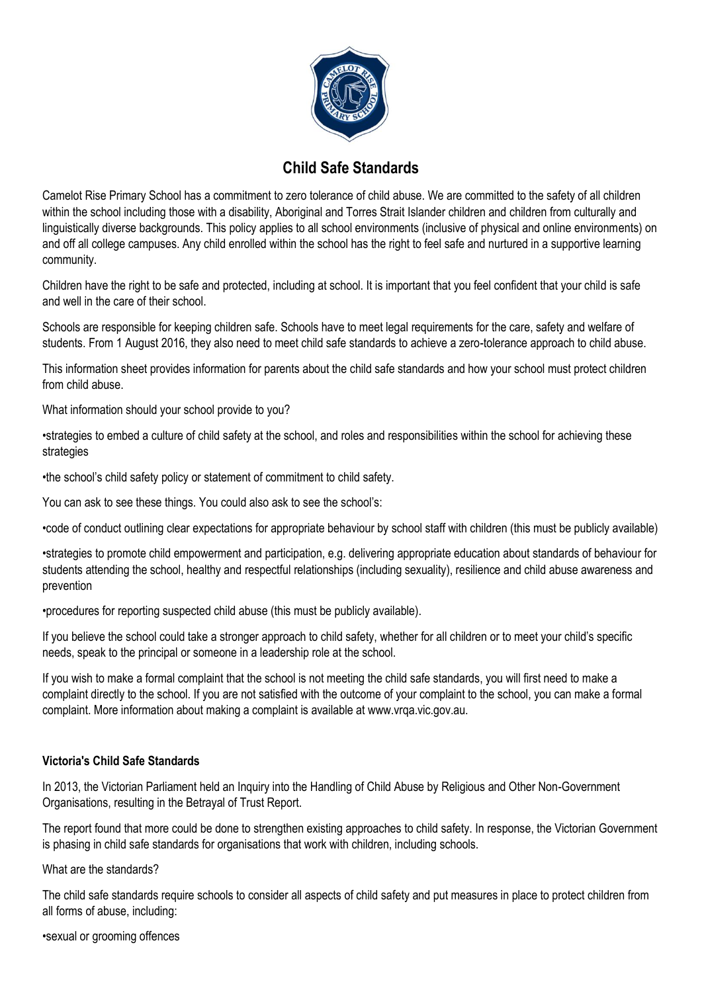

## **Child Safe Standards**

Camelot Rise Primary School has a commitment to zero tolerance of child abuse. We are committed to the safety of all children within the school including those with a disability, Aboriginal and Torres Strait Islander children and children from culturally and linguistically diverse backgrounds. This policy applies to all school environments (inclusive of physical and online environments) on and off all college campuses. Any child enrolled within the school has the right to feel safe and nurtured in a supportive learning community.

Children have the right to be safe and protected, including at school. It is important that you feel confident that your child is safe and well in the care of their school.

Schools are responsible for keeping children safe. Schools have to meet legal requirements for the care, safety and welfare of students. From 1 August 2016, they also need to meet child safe standards to achieve a zero-tolerance approach to child abuse.

This information sheet provides information for parents about the child safe standards and how your school must protect children from child abuse.

What information should your school provide to you?

•strategies to embed a culture of child safety at the school, and roles and responsibilities within the school for achieving these strategies

•the school's child safety policy or statement of commitment to child safety.

You can ask to see these things. You could also ask to see the school's:

•code of conduct outlining clear expectations for appropriate behaviour by school staff with children (this must be publicly available)

•strategies to promote child empowerment and participation, e.g. delivering appropriate education about standards of behaviour for students attending the school, healthy and respectful relationships (including sexuality), resilience and child abuse awareness and prevention

•procedures for reporting suspected child abuse (this must be publicly available).

If you believe the school could take a stronger approach to child safety, whether for all children or to meet your child's specific needs, speak to the principal or someone in a leadership role at the school.

If you wish to make a formal complaint that the school is not meeting the child safe standards, you will first need to make a complaint directly to the school. If you are not satisfied with the outcome of your complaint to the school, you can make a formal complaint. More information about making a complaint is available at www.vrqa.vic.gov.au.

## **Victoria's Child Safe Standards**

In 2013, the Victorian Parliament held an Inquiry into the Handling of Child Abuse by Religious and Other Non-Government Organisations, resulting in the Betrayal of Trust Report.

The report found that more could be done to strengthen existing approaches to child safety. In response, the Victorian Government is phasing in child safe standards for organisations that work with children, including schools.

What are the standards?

The child safe standards require schools to consider all aspects of child safety and put measures in place to protect children from all forms of abuse, including:

•sexual or grooming offences